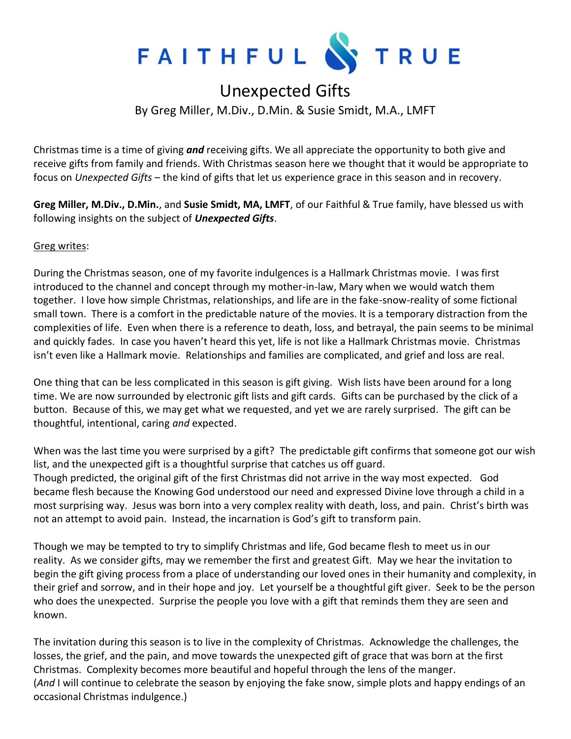

## Unexpected Gifts

By Greg Miller, M.Div., D.Min. & Susie Smidt, M.A., LMFT

Christmas time is a time of giving *and* receiving gifts. We all appreciate the opportunity to both give and receive gifts from family and friends. With Christmas season here we thought that it would be appropriate to focus on *Unexpected Gifts* – the kind of gifts that let us experience grace in this season and in recovery.

**Greg Miller, M.Div., D.Min.**, and **Susie Smidt, MA, LMFT**, of our Faithful & True family, have blessed us with following insights on the subject of *Unexpected Gifts*.

## Greg writes:

During the Christmas season, one of my favorite indulgences is a Hallmark Christmas movie. I was first introduced to the channel and concept through my mother-in-law, Mary when we would watch them together. I love how simple Christmas, relationships, and life are in the fake-snow-reality of some fictional small town. There is a comfort in the predictable nature of the movies. It is a temporary distraction from the complexities of life. Even when there is a reference to death, loss, and betrayal, the pain seems to be minimal and quickly fades. In case you haven't heard this yet, life is not like a Hallmark Christmas movie. Christmas isn't even like a Hallmark movie. Relationships and families are complicated, and grief and loss are real.

One thing that can be less complicated in this season is gift giving. Wish lists have been around for a long time. We are now surrounded by electronic gift lists and gift cards. Gifts can be purchased by the click of a button. Because of this, we may get what we requested, and yet we are rarely surprised. The gift can be thoughtful, intentional, caring *and* expected.

When was the last time you were surprised by a gift? The predictable gift confirms that someone got our wish list, and the unexpected gift is a thoughtful surprise that catches us off guard. Though predicted, the original gift of the first Christmas did not arrive in the way most expected. God became flesh because the Knowing God understood our need and expressed Divine love through a child in a most surprising way. Jesus was born into a very complex reality with death, loss, and pain. Christ's birth was not an attempt to avoid pain. Instead, the incarnation is God's gift to transform pain.

Though we may be tempted to try to simplify Christmas and life, God became flesh to meet us in our reality. As we consider gifts, may we remember the first and greatest Gift. May we hear the invitation to begin the gift giving process from a place of understanding our loved ones in their humanity and complexity, in their grief and sorrow, and in their hope and joy. Let yourself be a thoughtful gift giver. Seek to be the person who does the unexpected. Surprise the people you love with a gift that reminds them they are seen and known.

The invitation during this season is to live in the complexity of Christmas. Acknowledge the challenges, the losses, the grief, and the pain, and move towards the unexpected gift of grace that was born at the first Christmas. Complexity becomes more beautiful and hopeful through the lens of the manger. (*And* I will continue to celebrate the season by enjoying the fake snow, simple plots and happy endings of an occasional Christmas indulgence.)